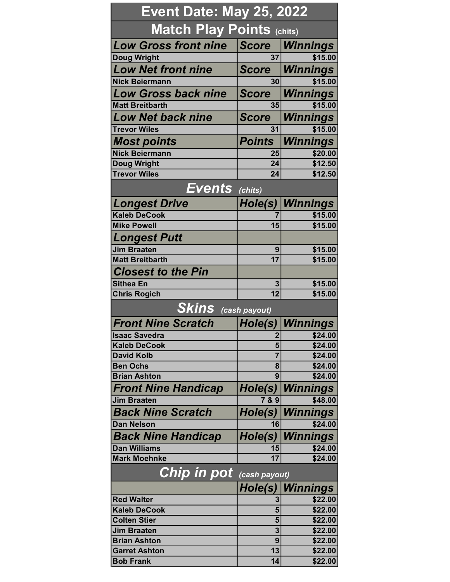| <b>Event Date: May 25, 2022</b>                  |                  |                    |  |
|--------------------------------------------------|------------------|--------------------|--|
| <b>Match Play Points (chits)</b>                 |                  |                    |  |
| <b>Low Gross front nine</b>                      | <b>Score</b>     | Winnings           |  |
| Doug Wright                                      | 37               | \$15.00            |  |
| <b>Low Net front nine</b>                        | <b>Score</b>     | Winnings           |  |
| <b>Nick Beiermann</b>                            | 30               | \$15.00            |  |
| <b>Low Gross back nine</b>                       | <b>Score</b>     | <b>Winnings</b>    |  |
| <b>Matt Breitbarth</b>                           | 35               | \$15.00            |  |
| <b>Low Net back nine</b>                         | <b>Score</b>     | Winnings           |  |
| <b>Trevor Wiles</b>                              | 31               | \$15.00            |  |
| <b>Most points</b>                               | <b>Points</b>    | <b>Winnings</b>    |  |
| <b>Nick Beiermann</b>                            | 25               | \$20.00            |  |
| <b>Doug Wright</b>                               | $\overline{24}$  | \$12.50            |  |
| <b>Trevor Wiles</b>                              | 24               | \$12.50            |  |
| $\overline{\textbf{Events}}$ (chits)             |                  |                    |  |
| <b>Longest Drive</b>                             | Hole(s)          | <b>Winnings</b>    |  |
| <b>Kaleb DeCook</b>                              |                  | \$15.00            |  |
| <b>Mike Powell</b>                               | 15               | \$15.00            |  |
| <b>Longest Putt</b>                              |                  |                    |  |
| <b>Jim Braaten</b>                               | 9                | \$15.00            |  |
| <b>Matt Breitbarth</b>                           | 17               | \$15.00            |  |
| <b>Closest to the Pin</b>                        |                  |                    |  |
| <b>Sithea En</b>                                 | 3                | \$15.00            |  |
| <b>Chris Rogich</b>                              | $\overline{12}$  | \$15.00            |  |
| <b>Skins</b> (cash payout)                       |                  |                    |  |
| <b>Front Nine Scratch</b>                        | Hole(s)          | Winnings           |  |
| <b>Isaac Savedra</b>                             | ∠                | \$24.00            |  |
| <b>Kaleb DeCook</b>                              | 5                | \$24.00            |  |
| <b>David Kolb</b>                                | $\overline{7}$   | \$24.00            |  |
| <b>Ben Ochs</b><br><b>Brian Ashton</b>           | 8<br>9           | \$24.00<br>\$24.00 |  |
|                                                  |                  | <b>Winnings</b>    |  |
| <b>Front Nine Handicap</b><br><b>Jim Braaten</b> | Hole(s)<br>7 & 9 | \$48.00            |  |
|                                                  |                  |                    |  |
| <b>Back Nine Scratch</b><br><b>Dan Nelson</b>    | Hole(s)          | <b>Winnings</b>    |  |
|                                                  | 16               | \$24.00            |  |
| <b>Back Nine Handicap</b>                        | Hole(s)          | <b>Winnings</b>    |  |
| <b>Dan Williams</b><br><b>Mark Moehnke</b>       | 15<br>17         | \$24.00<br>\$24.00 |  |
| Chip in pot                                      | (cash payout)    |                    |  |
|                                                  |                  |                    |  |
| <b>Red Walter</b>                                | Hole(s)          | <b>Winnings</b>    |  |
| <b>Kaleb DeCook</b>                              | 3<br>5           | \$22.00<br>\$22.00 |  |
| <b>Colten Stier</b>                              | 5                | \$22.00            |  |
| <b>Jim Braaten</b>                               | 3                | \$22.00            |  |
| <b>Brian Ashton</b>                              | 9                | \$22.00            |  |
| <b>Garret Ashton</b>                             | 13               | \$22.00            |  |
| <b>Bob Frank</b>                                 | 14               | \$22.00            |  |